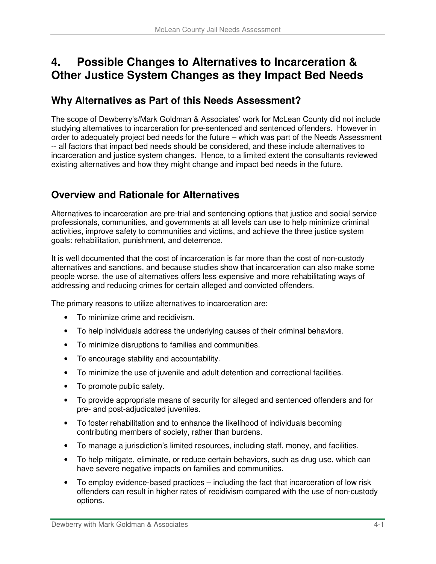# **4. Possible Changes to Alternatives to Incarceration & Other Justice System Changes as they Impact Bed Needs**

## **Why Alternatives as Part of this Needs Assessment?**

The scope of Dewberry's/Mark Goldman & Associates' work for McLean County did not include studying alternatives to incarceration for pre-sentenced and sentenced offenders. However in order to adequately project bed needs for the future – which was part of the Needs Assessment -- all factors that impact bed needs should be considered, and these include alternatives to incarceration and justice system changes. Hence, to a limited extent the consultants reviewed existing alternatives and how they might change and impact bed needs in the future.

# **Overview and Rationale for Alternatives**

Alternatives to incarceration are pre-trial and sentencing options that justice and social service professionals, communities, and governments at all levels can use to help minimize criminal activities, improve safety to communities and victims, and achieve the three justice system goals: rehabilitation, punishment, and deterrence.

It is well documented that the cost of incarceration is far more than the cost of non-custody alternatives and sanctions, and because studies show that incarceration can also make some people worse, the use of alternatives offers less expensive and more rehabilitating ways of addressing and reducing crimes for certain alleged and convicted offenders.

The primary reasons to utilize alternatives to incarceration are:

- To minimize crime and recidivism.
- To help individuals address the underlying causes of their criminal behaviors.
- To minimize disruptions to families and communities.
- To encourage stability and accountability.
- To minimize the use of juvenile and adult detention and correctional facilities.
- To promote public safety.
- To provide appropriate means of security for alleged and sentenced offenders and for pre- and post-adjudicated juveniles.
- To foster rehabilitation and to enhance the likelihood of individuals becoming contributing members of society, rather than burdens.
- To manage a jurisdiction's limited resources, including staff, money, and facilities.
- To help mitigate, eliminate, or reduce certain behaviors, such as drug use, which can have severe negative impacts on families and communities.
- To employ evidence-based practices including the fact that incarceration of low risk offenders can result in higher rates of recidivism compared with the use of non-custody options.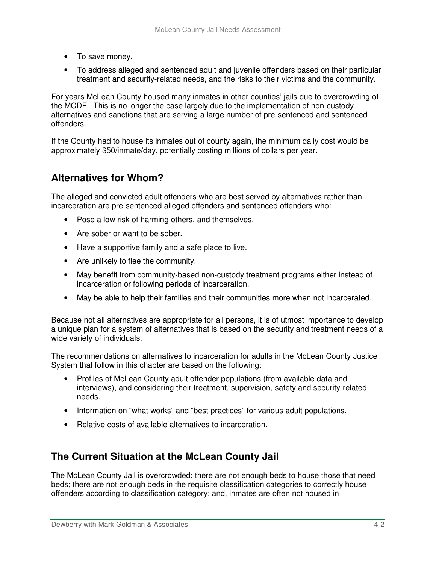- To save money.
- To address alleged and sentenced adult and juvenile offenders based on their particular treatment and security-related needs, and the risks to their victims and the community.

For years McLean County housed many inmates in other counties' jails due to overcrowding of the MCDF. This is no longer the case largely due to the implementation of non-custody alternatives and sanctions that are serving a large number of pre-sentenced and sentenced offenders.

If the County had to house its inmates out of county again, the minimum daily cost would be approximately \$50/inmate/day, potentially costing millions of dollars per year.

# **Alternatives for Whom?**

The alleged and convicted adult offenders who are best served by alternatives rather than incarceration are pre-sentenced alleged offenders and sentenced offenders who:

- Pose a low risk of harming others, and themselves.
- Are sober or want to be sober.
- Have a supportive family and a safe place to live.
- Are unlikely to flee the community.
- May benefit from community-based non-custody treatment programs either instead of incarceration or following periods of incarceration.
- May be able to help their families and their communities more when not incarcerated.

Because not all alternatives are appropriate for all persons, it is of utmost importance to develop a unique plan for a system of alternatives that is based on the security and treatment needs of a wide variety of individuals.

The recommendations on alternatives to incarceration for adults in the McLean County Justice System that follow in this chapter are based on the following:

- Profiles of McLean County adult offender populations (from available data and interviews), and considering their treatment, supervision, safety and security-related needs.
- Information on "what works" and "best practices" for various adult populations.
- Relative costs of available alternatives to incarceration.

## **The Current Situation at the McLean County Jail**

The McLean County Jail is overcrowded; there are not enough beds to house those that need beds; there are not enough beds in the requisite classification categories to correctly house offenders according to classification category; and, inmates are often not housed in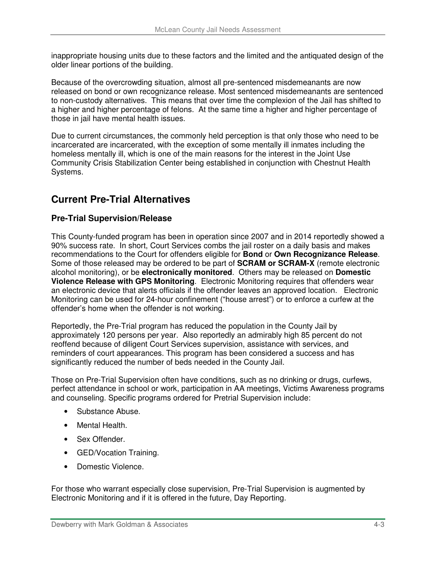inappropriate housing units due to these factors and the limited and the antiquated design of the older linear portions of the building.

Because of the overcrowding situation, almost all pre-sentenced misdemeanants are now released on bond or own recognizance release. Most sentenced misdemeanants are sentenced to non-custody alternatives. This means that over time the complexion of the Jail has shifted to a higher and higher percentage of felons. At the same time a higher and higher percentage of those in jail have mental health issues.

Due to current circumstances, the commonly held perception is that only those who need to be incarcerated are incarcerated, with the exception of some mentally ill inmates including the homeless mentally ill, which is one of the main reasons for the interest in the Joint Use Community Crisis Stabilization Center being established in conjunction with Chestnut Health Systems.

# **Current Pre-Trial Alternatives**

## **Pre-Trial Supervision/Release**

This County-funded program has been in operation since 2007 and in 2014 reportedly showed a 90% success rate. In short, Court Services combs the jail roster on a daily basis and makes recommendations to the Court for offenders eligible for **Bond** or **Own Recognizance Release**. Some of those released may be ordered to be part of **SCRAM or SCRAM-X** (remote electronic alcohol monitoring), or be **electronically monitored**. Others may be released on **Domestic Violence Release with GPS Monitoring**. Electronic Monitoring requires that offenders wear an electronic device that alerts officials if the offender leaves an approved location. Electronic Monitoring can be used for 24-hour confinement ("house arrest") or to enforce a curfew at the offender's home when the offender is not working.

Reportedly, the Pre-Trial program has reduced the population in the County Jail by approximately 120 persons per year. Also reportedly an admirably high 85 percent do not reoffend because of diligent Court Services supervision, assistance with services, and reminders of court appearances. This program has been considered a success and has significantly reduced the number of beds needed in the County Jail.

Those on Pre-Trial Supervision often have conditions, such as no drinking or drugs, curfews, perfect attendance in school or work, participation in AA meetings, Victims Awareness programs and counseling. Specific programs ordered for Pretrial Supervision include:

- Substance Abuse.
- Mental Health.
- Sex Offender.
- GED/Vocation Training.
- Domestic Violence.

For those who warrant especially close supervision, Pre-Trial Supervision is augmented by Electronic Monitoring and if it is offered in the future, Day Reporting.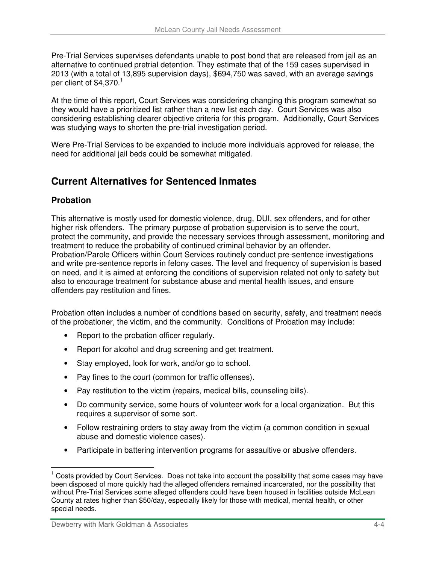Pre-Trial Services supervises defendants unable to post bond that are released from jail as an alternative to continued pretrial detention. They estimate that of the 159 cases supervised in 2013 (with a total of 13,895 supervision days), \$694,750 was saved, with an average savings per client of  $$4,370.<sup>1</sup>$ 

At the time of this report, Court Services was considering changing this program somewhat so they would have a prioritized list rather than a new list each day. Court Services was also considering establishing clearer objective criteria for this program. Additionally, Court Services was studying ways to shorten the pre-trial investigation period.

Were Pre-Trial Services to be expanded to include more individuals approved for release, the need for additional jail beds could be somewhat mitigated.

# **Current Alternatives for Sentenced Inmates**

## **Probation**

 $\overline{a}$ 

This alternative is mostly used for domestic violence, drug, DUI, sex offenders, and for other higher risk offenders. The primary purpose of probation supervision is to serve the court, protect the community, and provide the necessary services through assessment, monitoring and treatment to reduce the probability of continued criminal behavior by an offender. Probation/Parole Officers within Court Services routinely conduct pre-sentence investigations and write pre-sentence reports in felony cases. The level and frequency of supervision is based on need, and it is aimed at enforcing the conditions of supervision related not only to safety but also to encourage treatment for substance abuse and mental health issues, and ensure offenders pay restitution and fines.

Probation often includes a number of conditions based on security, safety, and treatment needs of the probationer, the victim, and the community. Conditions of Probation may include:

- Report to the probation officer regularly.
- Report for alcohol and drug screening and get treatment.
- Stay employed, look for work, and/or go to school.
- Pay fines to the court (common for traffic offenses).
- Pay restitution to the victim (repairs, medical bills, counseling bills).
- Do community service, some hours of volunteer work for a local organization. But this requires a supervisor of some sort.
- Follow restraining orders to stay away from the victim (a common condition in sexual abuse and domestic violence cases).
- Participate in battering intervention programs for assaultive or abusive offenders.

<sup>1</sup> Costs provided by Court Services. Does not take into account the possibility that some cases may have been disposed of more quickly had the alleged offenders remained incarcerated, nor the possibility that without Pre-Trial Services some alleged offenders could have been housed in facilities outside McLean County at rates higher than \$50/day, especially likely for those with medical, mental health, or other special needs.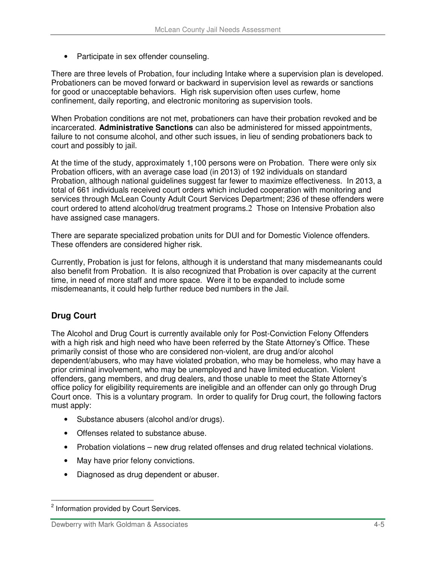• Participate in sex offender counseling.

There are three levels of Probation, four including Intake where a supervision plan is developed. Probationers can be moved forward or backward in supervision level as rewards or sanctions for good or unacceptable behaviors. High risk supervision often uses curfew, home confinement, daily reporting, and electronic monitoring as supervision tools.

When Probation conditions are not met, probationers can have their probation revoked and be incarcerated. **Administrative Sanctions** can also be administered for missed appointments, failure to not consume alcohol, and other such issues, in lieu of sending probationers back to court and possibly to jail.

At the time of the study, approximately 1,100 persons were on Probation. There were only six Probation officers, with an average case load (in 2013) of 192 individuals on standard Probation, although national guidelines suggest far fewer to maximize effectiveness. In 2013, a total of 661 individuals received court orders which included cooperation with monitoring and services through McLean County Adult Court Services Department; 236 of these offenders were court ordered to attend alcohol/drug treatment programs.2 Those on Intensive Probation also have assigned case managers.

There are separate specialized probation units for DUI and for Domestic Violence offenders. These offenders are considered higher risk.

Currently, Probation is just for felons, although it is understand that many misdemeanants could also benefit from Probation. It is also recognized that Probation is over capacity at the current time, in need of more staff and more space. Were it to be expanded to include some misdemeanants, it could help further reduce bed numbers in the Jail.

## **Drug Court**

 $\overline{a}$ 

The Alcohol and Drug Court is currently available only for Post-Conviction Felony Offenders with a high risk and high need who have been referred by the State Attorney's Office. These primarily consist of those who are considered non-violent, are drug and/or alcohol dependent/abusers, who may have violated probation, who may be homeless, who may have a prior criminal involvement, who may be unemployed and have limited education. Violent offenders, gang members, and drug dealers, and those unable to meet the State Attorney's office policy for eligibility requirements are ineligible and an offender can only go through Drug Court once. This is a voluntary program. In order to qualify for Drug court, the following factors must apply:

- Substance abusers (alcohol and/or drugs).
- Offenses related to substance abuse.
- Probation violations new drug related offenses and drug related technical violations.
- May have prior felony convictions.
- Diagnosed as drug dependent or abuser.

<sup>&</sup>lt;sup>2</sup> Information provided by Court Services.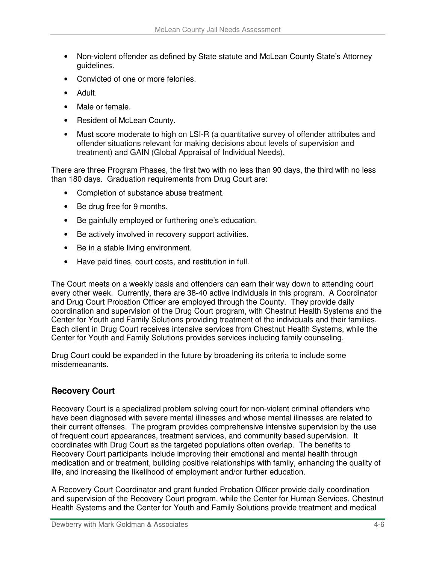- Non-violent offender as defined by State statute and McLean County State's Attorney guidelines.
- Convicted of one or more felonies.
- Adult.
- Male or female.
- Resident of McLean County.
- Must score moderate to high on LSI-R (a quantitative survey of offender attributes and offender situations relevant for making decisions about levels of supervision and treatment) and GAIN (Global Appraisal of Individual Needs).

There are three Program Phases, the first two with no less than 90 days, the third with no less than 180 days. Graduation requirements from Drug Court are:

- Completion of substance abuse treatment.
- Be drug free for 9 months.
- Be gainfully employed or furthering one's education.
- Be actively involved in recovery support activities.
- Be in a stable living environment.
- Have paid fines, court costs, and restitution in full.

The Court meets on a weekly basis and offenders can earn their way down to attending court every other week. Currently, there are 38-40 active individuals in this program. A Coordinator and Drug Court Probation Officer are employed through the County. They provide daily coordination and supervision of the Drug Court program, with Chestnut Health Systems and the Center for Youth and Family Solutions providing treatment of the individuals and their families. Each client in Drug Court receives intensive services from Chestnut Health Systems, while the Center for Youth and Family Solutions provides services including family counseling.

Drug Court could be expanded in the future by broadening its criteria to include some misdemeanants.

#### **Recovery Court**

Recovery Court is a specialized problem solving court for non-violent criminal offenders who have been diagnosed with severe mental illnesses and whose mental illnesses are related to their current offenses. The program provides comprehensive intensive supervision by the use of frequent court appearances, treatment services, and community based supervision. It coordinates with Drug Court as the targeted populations often overlap. The benefits to Recovery Court participants include improving their emotional and mental health through medication and or treatment, building positive relationships with family, enhancing the quality of life, and increasing the likelihood of employment and/or further education.

A Recovery Court Coordinator and grant funded Probation Officer provide daily coordination and supervision of the Recovery Court program, while the Center for Human Services, Chestnut Health Systems and the Center for Youth and Family Solutions provide treatment and medical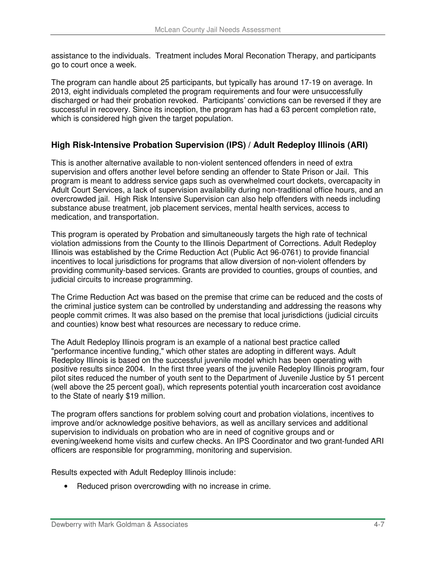assistance to the individuals. Treatment includes Moral Reconation Therapy, and participants go to court once a week.

The program can handle about 25 participants, but typically has around 17-19 on average. In 2013, eight individuals completed the program requirements and four were unsuccessfully discharged or had their probation revoked. Participants' convictions can be reversed if they are successful in recovery. Since its inception, the program has had a 63 percent completion rate, which is considered high given the target population.

## **High Risk-Intensive Probation Supervision (IPS) / Adult Redeploy Illinois (ARI)**

This is another alternative available to non-violent sentenced offenders in need of extra supervision and offers another level before sending an offender to State Prison or Jail. This program is meant to address service gaps such as overwhelmed court dockets, overcapacity in Adult Court Services, a lack of supervision availability during non-traditional office hours, and an overcrowded jail. High Risk Intensive Supervision can also help offenders with needs including substance abuse treatment, job placement services, mental health services, access to medication, and transportation.

This program is operated by Probation and simultaneously targets the high rate of technical violation admissions from the County to the Illinois Department of Corrections. Adult Redeploy Illinois was established by the Crime Reduction Act (Public Act 96-0761) to provide financial incentives to local jurisdictions for programs that allow diversion of non-violent offenders by providing community-based services. Grants are provided to counties, groups of counties, and judicial circuits to increase programming.

The Crime Reduction Act was based on the premise that crime can be reduced and the costs of the criminal justice system can be controlled by understanding and addressing the reasons why people commit crimes. It was also based on the premise that local jurisdictions (judicial circuits and counties) know best what resources are necessary to reduce crime.

The Adult Redeploy Illinois program is an example of a national best practice called "performance incentive funding," which other states are adopting in different ways. Adult Redeploy Illinois is based on the successful juvenile model which has been operating with positive results since 2004. In the first three years of the juvenile Redeploy Illinois program, four pilot sites reduced the number of youth sent to the Department of Juvenile Justice by 51 percent (well above the 25 percent goal), which represents potential youth incarceration cost avoidance to the State of nearly \$19 million.

The program offers sanctions for problem solving court and probation violations, incentives to improve and/or acknowledge positive behaviors, as well as ancillary services and additional supervision to individuals on probation who are in need of cognitive groups and or evening/weekend home visits and curfew checks. An IPS Coordinator and two grant-funded ARI officers are responsible for programming, monitoring and supervision.

Results expected with Adult Redeploy Illinois include:

• Reduced prison overcrowding with no increase in crime.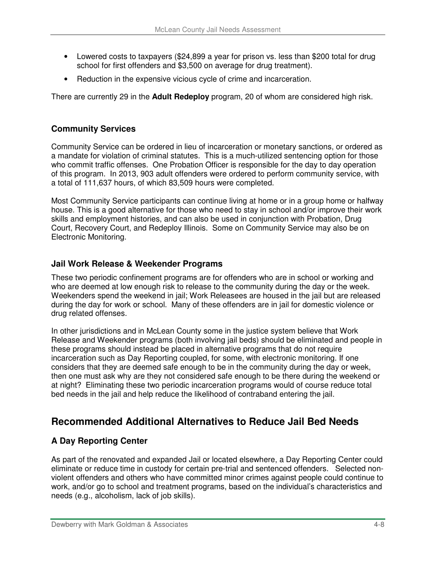- Lowered costs to taxpayers (\$24,899 a year for prison vs. less than \$200 total for drug school for first offenders and \$3,500 on average for drug treatment).
- Reduction in the expensive vicious cycle of crime and incarceration.

There are currently 29 in the **Adult Redeploy** program, 20 of whom are considered high risk.

## **Community Services**

Community Service can be ordered in lieu of incarceration or monetary sanctions, or ordered as a mandate for violation of criminal statutes. This is a much-utilized sentencing option for those who commit traffic offenses. One Probation Officer is responsible for the day to day operation of this program. In 2013, 903 adult offenders were ordered to perform community service, with a total of 111,637 hours, of which 83,509 hours were completed.

Most Community Service participants can continue living at home or in a group home or halfway house. This is a good alternative for those who need to stay in school and/or improve their work skills and employment histories, and can also be used in conjunction with Probation, Drug Court, Recovery Court, and Redeploy Illinois. Some on Community Service may also be on Electronic Monitoring.

#### **Jail Work Release & Weekender Programs**

These two periodic confinement programs are for offenders who are in school or working and who are deemed at low enough risk to release to the community during the day or the week. Weekenders spend the weekend in jail; Work Releasees are housed in the jail but are released during the day for work or school. Many of these offenders are in jail for domestic violence or drug related offenses.

In other jurisdictions and in McLean County some in the justice system believe that Work Release and Weekender programs (both involving jail beds) should be eliminated and people in these programs should instead be placed in alternative programs that do not require incarceration such as Day Reporting coupled, for some, with electronic monitoring. If one considers that they are deemed safe enough to be in the community during the day or week, then one must ask why are they not considered safe enough to be there during the weekend or at night? Eliminating these two periodic incarceration programs would of course reduce total bed needs in the jail and help reduce the likelihood of contraband entering the jail.

## **Recommended Additional Alternatives to Reduce Jail Bed Needs**

## **A Day Reporting Center**

As part of the renovated and expanded Jail or located elsewhere, a Day Reporting Center could eliminate or reduce time in custody for certain pre-trial and sentenced offenders. Selected nonviolent offenders and others who have committed minor crimes against people could continue to work, and/or go to school and treatment programs, based on the individual's characteristics and needs (e.g., alcoholism, lack of job skills).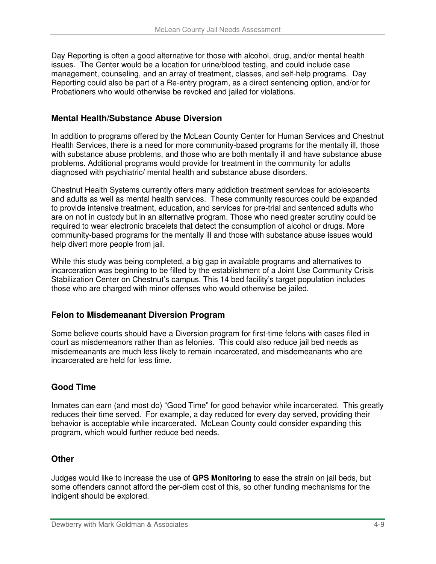Day Reporting is often a good alternative for those with alcohol, drug, and/or mental health issues. The Center would be a location for urine/blood testing, and could include case management, counseling, and an array of treatment, classes, and self-help programs. Day Reporting could also be part of a Re-entry program, as a direct sentencing option, and/or for Probationers who would otherwise be revoked and jailed for violations.

#### **Mental Health/Substance Abuse Diversion**

In addition to programs offered by the McLean County Center for Human Services and Chestnut Health Services, there is a need for more community-based programs for the mentally ill, those with substance abuse problems, and those who are both mentally ill and have substance abuse problems. Additional programs would provide for treatment in the community for adults diagnosed with psychiatric/ mental health and substance abuse disorders.

Chestnut Health Systems currently offers many addiction treatment services for adolescents and adults as well as mental health services. These community resources could be expanded to provide intensive treatment, education, and services for pre-trial and sentenced adults who are on not in custody but in an alternative program. Those who need greater scrutiny could be required to wear electronic bracelets that detect the consumption of alcohol or drugs. More community-based programs for the mentally ill and those with substance abuse issues would help divert more people from jail.

While this study was being completed, a big gap in available programs and alternatives to incarceration was beginning to be filled by the establishment of a Joint Use Community Crisis Stabilization Center on Chestnut's campus. This 14 bed facility's target population includes those who are charged with minor offenses who would otherwise be jailed.

## **Felon to Misdemeanant Diversion Program**

Some believe courts should have a Diversion program for first-time felons with cases filed in court as misdemeanors rather than as felonies. This could also reduce jail bed needs as misdemeanants are much less likely to remain incarcerated, and misdemeanants who are incarcerated are held for less time.

## **Good Time**

Inmates can earn (and most do) "Good Time" for good behavior while incarcerated. This greatly reduces their time served. For example, a day reduced for every day served, providing their behavior is acceptable while incarcerated. McLean County could consider expanding this program, which would further reduce bed needs.

#### **Other**

Judges would like to increase the use of **GPS Monitoring** to ease the strain on jail beds, but some offenders cannot afford the per-diem cost of this, so other funding mechanisms for the indigent should be explored.